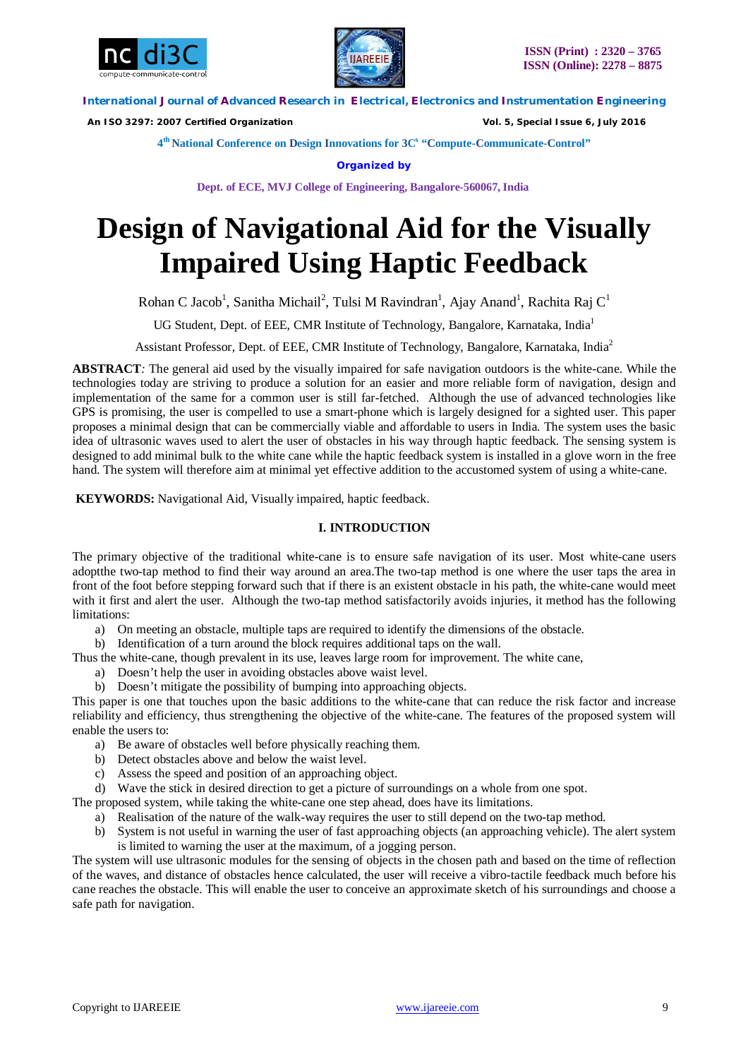



 *An ISO 3297: 2007 Certified Organization Vol. 5, Special Issue 6, July 2016*

**4 th National Conference on Design Innovations for 3C s "Compute-Communicate-Control"** 

**Organized by**

**Dept. of ECE, MVJ College of Engineering, Bangalore-560067, India**

# **Design of Navigational Aid for the Visually Impaired Using Haptic Feedback**

Rohan C Jacob<sup>1</sup>, Sanitha Michail<sup>2</sup>, Tulsi M Ravindran<sup>1</sup>, Ajay Anand<sup>1</sup>, Rachita Raj C<sup>1</sup>

UG Student, Dept. of EEE, CMR Institute of Technology, Bangalore, Karnataka, India<sup>1</sup>

Assistant Professor, Dept. of EEE, CMR Institute of Technology, Bangalore, Karnataka, India<sup>2</sup>

**ABSTRACT***:* The general aid used by the visually impaired for safe navigation outdoors is the white-cane. While the technologies today are striving to produce a solution for an easier and more reliable form of navigation, design and implementation of the same for a common user is still far-fetched. Although the use of advanced technologies like GPS is promising, the user is compelled to use a smart-phone which is largely designed for a sighted user. This paper proposes a minimal design that can be commercially viable and affordable to users in India. The system uses the basic idea of ultrasonic waves used to alert the user of obstacles in his way through haptic feedback. The sensing system is designed to add minimal bulk to the white cane while the haptic feedback system is installed in a glove worn in the free hand. The system will therefore aim at minimal yet effective addition to the accustomed system of using a white-cane.

**KEYWORDS:** Navigational Aid, Visually impaired, haptic feedback.

# **I. INTRODUCTION**

The primary objective of the traditional white-cane is to ensure safe navigation of its user. Most white-cane users adoptthe two-tap method to find their way around an area.The two-tap method is one where the user taps the area in front of the foot before stepping forward such that if there is an existent obstacle in his path, the white-cane would meet with it first and alert the user. Although the two-tap method satisfactorily avoids injuries, it method has the following limitations:

a) On meeting an obstacle, multiple taps are required to identify the dimensions of the obstacle.

b) Identification of a turn around the block requires additional taps on the wall.

- Thus the white-cane, though prevalent in its use, leaves large room for improvement. The white cane,
	- a) Doesn't help the user in avoiding obstacles above waist level.
	- b) Doesn't mitigate the possibility of bumping into approaching objects.

This paper is one that touches upon the basic additions to the white-cane that can reduce the risk factor and increase reliability and efficiency, thus strengthening the objective of the white-cane. The features of the proposed system will enable the users to:

- a) Be aware of obstacles well before physically reaching them.
- b) Detect obstacles above and below the waist level.
- c) Assess the speed and position of an approaching object.
- d) Wave the stick in desired direction to get a picture of surroundings on a whole from one spot.

The proposed system, while taking the white-cane one step ahead, does have its limitations.

- a) Realisation of the nature of the walk-way requires the user to still depend on the two-tap method.
- b) System is not useful in warning the user of fast approaching objects (an approaching vehicle). The alert system is limited to warning the user at the maximum, of a jogging person.

The system will use ultrasonic modules for the sensing of objects in the chosen path and based on the time of reflection of the waves, and distance of obstacles hence calculated, the user will receive a vibro-tactile feedback much before his cane reaches the obstacle. This will enable the user to conceive an approximate sketch of his surroundings and choose a safe path for navigation.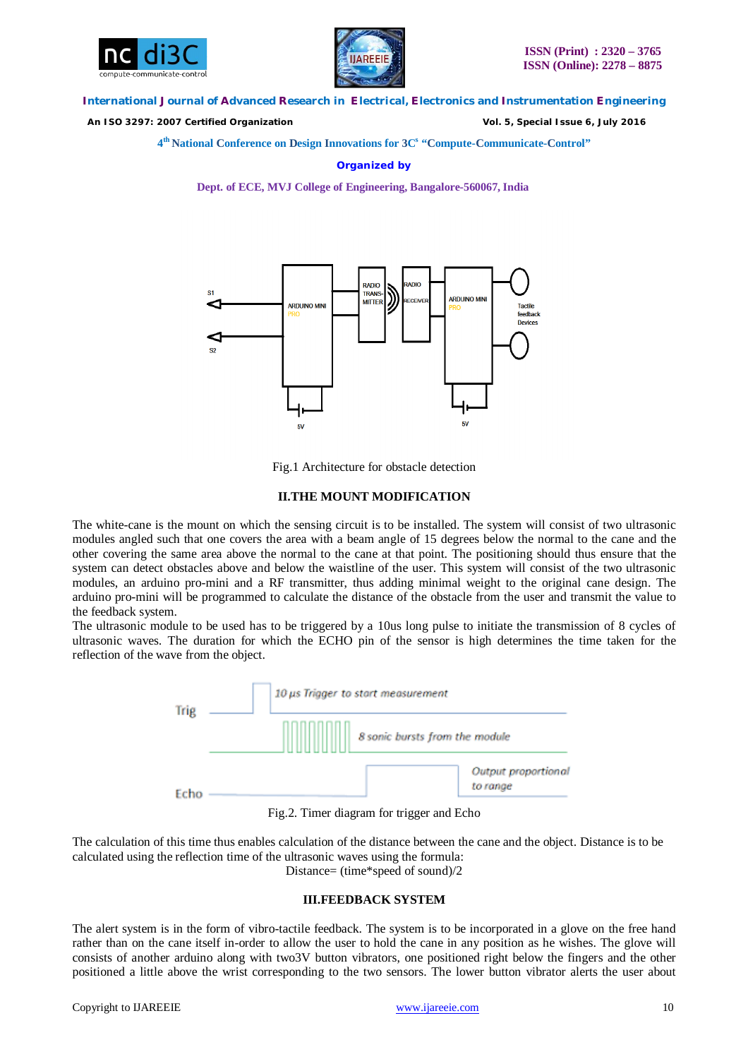



 *An ISO 3297: 2007 Certified Organization Vol. 5, Special Issue 6, July 2016*

**4 th National Conference on Design Innovations for 3C s "Compute-Communicate-Control"** 

**Organized by**

**Dept. of ECE, MVJ College of Engineering, Bangalore-560067, India**



Fig.1 Architecture for obstacle detection

#### **II.THE MOUNT MODIFICATION**

The white-cane is the mount on which the sensing circuit is to be installed. The system will consist of two ultrasonic modules angled such that one covers the area with a beam angle of 15 degrees below the normal to the cane and the other covering the same area above the normal to the cane at that point. The positioning should thus ensure that the system can detect obstacles above and below the waistline of the user. This system will consist of the two ultrasonic modules, an arduino pro-mini and a RF transmitter, thus adding minimal weight to the original cane design. The arduino pro-mini will be programmed to calculate the distance of the obstacle from the user and transmit the value to the feedback system.

The ultrasonic module to be used has to be triggered by a 10us long pulse to initiate the transmission of 8 cycles of ultrasonic waves. The duration for which the ECHO pin of the sensor is high determines the time taken for the reflection of the wave from the object.



Fig.2. Timer diagram for trigger and Echo

The calculation of this time thus enables calculation of the distance between the cane and the object. Distance is to be calculated using the reflection time of the ultrasonic waves using the formula: Distance= (time\*speed of sound)/2

## **III.FEEDBACK SYSTEM**

The alert system is in the form of vibro-tactile feedback. The system is to be incorporated in a glove on the free hand rather than on the cane itself in-order to allow the user to hold the cane in any position as he wishes. The glove will consists of another arduino along with two3V button vibrators, one positioned right below the fingers and the other positioned a little above the wrist corresponding to the two sensors. The lower button vibrator alerts the user about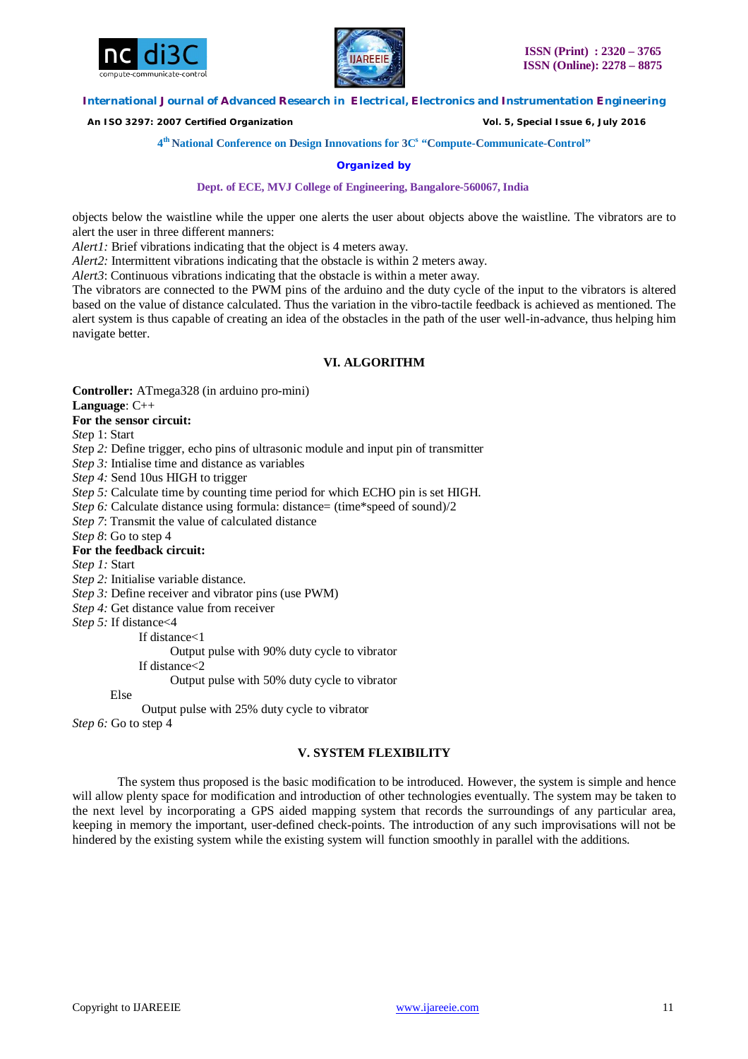



 *An ISO 3297: 2007 Certified Organization Vol. 5, Special Issue 6, July 2016*

**4 th National Conference on Design Innovations for 3C s "Compute-Communicate-Control"** 

## **Organized by**

**Dept. of ECE, MVJ College of Engineering, Bangalore-560067, India**

objects below the waistline while the upper one alerts the user about objects above the waistline. The vibrators are to alert the user in three different manners:

*Alert1*: Brief vibrations indicating that the object is 4 meters away.

*Alert2*: Intermittent vibrations indicating that the obstacle is within 2 meters away.

*Alert3*: Continuous vibrations indicating that the obstacle is within a meter away.

The vibrators are connected to the PWM pins of the arduino and the duty cycle of the input to the vibrators is altered based on the value of distance calculated. Thus the variation in the vibro-tactile feedback is achieved as mentioned. The alert system is thus capable of creating an idea of the obstacles in the path of the user well-in-advance, thus helping him navigate better.

## **VI. ALGORITHM**

**Controller:** ATmega328 (in arduino pro-mini)

**Language**: C++

**For the sensor circuit:**

*Ste*p 1: Start

*Ste*p *2:* Define trigger, echo pins of ultrasonic module and input pin of transmitter

*Step 3:* Intialise time and distance as variables

*Step 4:* Send 10us HIGH to trigger

*Step 5:* Calculate time by counting time period for which ECHO pin is set HIGH.

*Step 6:* Calculate distance using formula: distance= (time\*speed of sound)/2

*Step 7*: Transmit the value of calculated distance

*Step 8*: Go to step 4

#### **For the feedback circuit:**

*Step 1:* Start

*Step 2:* Initialise variable distance.

*Step 3:* Define receiver and vibrator pins (use PWM)

*Step 4:* Get distance value from receiver

*Step 5:* If distance<4

If distance<1

Output pulse with 90% duty cycle to vibrator

If distance<2

Output pulse with 50% duty cycle to vibrator

Else

Output pulse with 25% duty cycle to vibrator

*Step 6:* Go to step 4

## **V. SYSTEM FLEXIBILITY**

The system thus proposed is the basic modification to be introduced. However, the system is simple and hence will allow plenty space for modification and introduction of other technologies eventually. The system may be taken to the next level by incorporating a GPS aided mapping system that records the surroundings of any particular area, keeping in memory the important, user-defined check-points. The introduction of any such improvisations will not be hindered by the existing system while the existing system will function smoothly in parallel with the additions.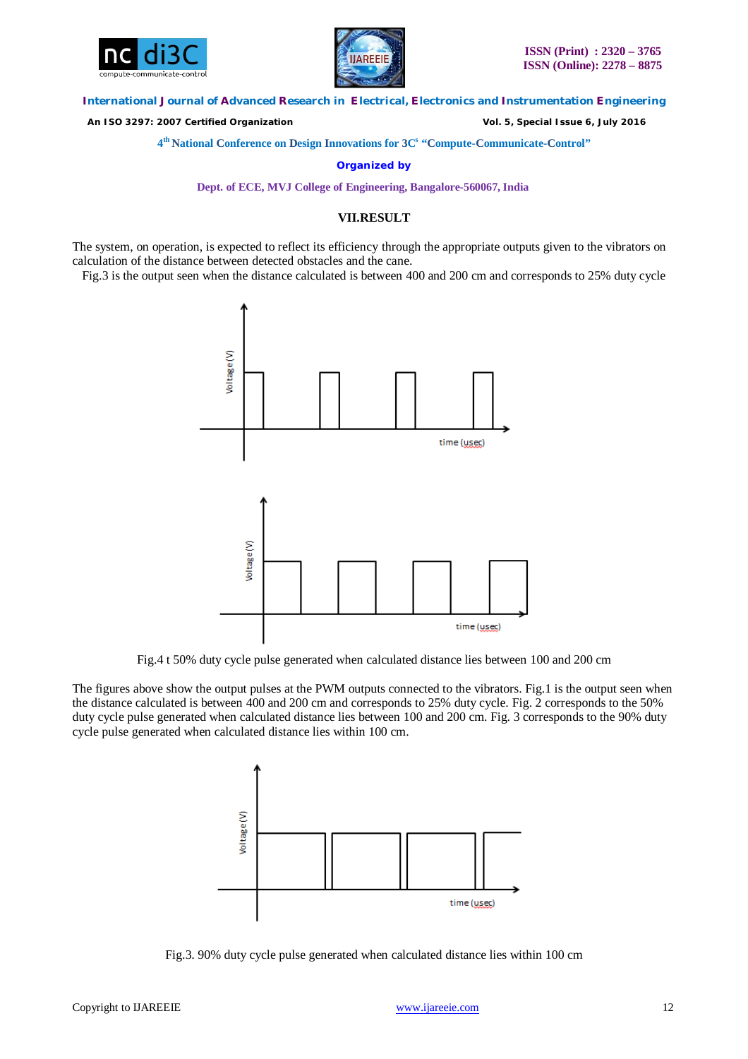



 *An ISO 3297: 2007 Certified Organization Vol. 5, Special Issue 6, July 2016*

**4 th National Conference on Design Innovations for 3C s "Compute-Communicate-Control"** 

**Organized by**

**Dept. of ECE, MVJ College of Engineering, Bangalore-560067, India**

# **VII.RESULT**

The system, on operation, is expected to reflect its efficiency through the appropriate outputs given to the vibrators on calculation of the distance between detected obstacles and the cane.

Fig.3 is the output seen when the distance calculated is between 400 and 200 cm and corresponds to 25% duty cycle



Fig.4 t 50% duty cycle pulse generated when calculated distance lies between 100 and 200 cm

The figures above show the output pulses at the PWM outputs connected to the vibrators. Fig.1 is the output seen when the distance calculated is between 400 and 200 cm and corresponds to 25% duty cycle. Fig. 2 corresponds to the 50% duty cycle pulse generated when calculated distance lies between 100 and 200 cm. Fig. 3 corresponds to the 90% duty cycle pulse generated when calculated distance lies within 100 cm.



Fig.3. 90% duty cycle pulse generated when calculated distance lies within 100 cm